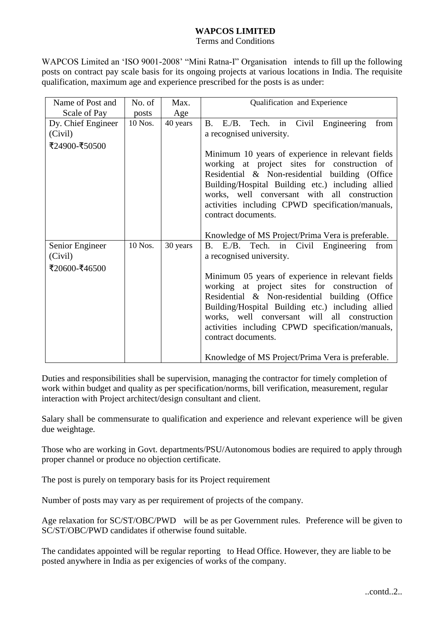## **WAPCOS LIMITED**

Terms and Conditions

WAPCOS Limited an 'ISO 9001-2008' "Mini Ratna-I" Organisation intends to fill up the following posts on contract pay scale basis for its ongoing projects at various locations in India. The requisite qualification, maximum age and experience prescribed for the posts is as under:

| Name of Post and   | No. of  | Max.     | Qualification and Experience                                                                        |
|--------------------|---------|----------|-----------------------------------------------------------------------------------------------------|
| Scale of Pay       | posts   | Age      |                                                                                                     |
| Dy. Chief Engineer | 10 Nos. | 40 years | B. E./B. Tech. in Civil Engineering<br>from                                                         |
| (Civil)            |         |          | a recognised university.                                                                            |
| ₹24900-₹50500      |         |          |                                                                                                     |
|                    |         |          | Minimum 10 years of experience in relevant fields                                                   |
|                    |         |          | working at project sites for construction of                                                        |
|                    |         |          | Residential & Non-residential building (Office<br>Building/Hospital Building etc.) including allied |
|                    |         |          | works, well conversant with all construction                                                        |
|                    |         |          | activities including CPWD specification/manuals,                                                    |
|                    |         |          | contract documents.                                                                                 |
|                    |         |          |                                                                                                     |
|                    |         |          | Knowledge of MS Project/Prima Vera is preferable.                                                   |
| Senior Engineer    | 10 Nos. | 30 years | B. E./B. Tech. in Civil Engineering<br>from                                                         |
| (Civil)            |         |          | a recognised university.                                                                            |
| ₹20600-₹46500      |         |          |                                                                                                     |
|                    |         |          | Minimum 05 years of experience in relevant fields                                                   |
|                    |         |          | working at project sites for construction of                                                        |
|                    |         |          | Residential & Non-residential building (Office<br>Building/Hospital Building etc.) including allied |
|                    |         |          | works, well conversant will all construction                                                        |
|                    |         |          | activities including CPWD specification/manuals,                                                    |
|                    |         |          | contract documents.                                                                                 |
|                    |         |          | Knowledge of MS Project/Prima Vera is preferable.                                                   |

Duties and responsibilities shall be supervision, managing the contractor for timely completion of work within budget and quality as per specification/norms, bill verification, measurement, regular interaction with Project architect/design consultant and client.

Salary shall be commensurate to qualification and experience and relevant experience will be given due weightage.

Those who are working in Govt. departments/PSU/Autonomous bodies are required to apply through proper channel or produce no objection certificate.

The post is purely on temporary basis for its Project requirement

Number of posts may vary as per requirement of projects of the company.

Age relaxation for SC/ST/OBC/PWD will be as per Government rules. Preference will be given to SC/ST/OBC/PWD candidates if otherwise found suitable.

The candidates appointed will be regular reporting to Head Office. However, they are liable to be posted anywhere in India as per exigencies of works of the company.